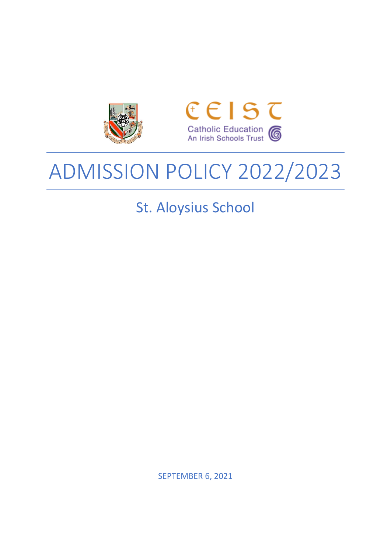



# ADMISSION POLICY 2022/2023

St. Aloysius School

SEPTEMBER 6, 2021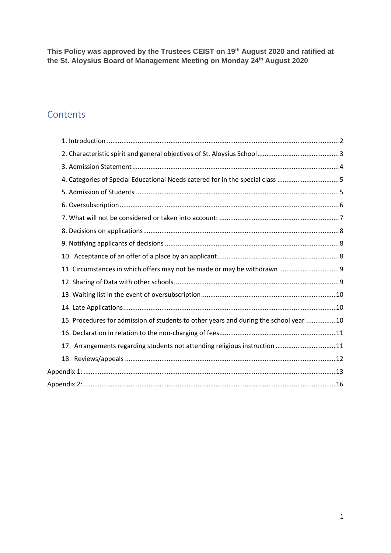**This Policy was approved by the Trustees CEIST on 19th August 2020 and ratified at the St. Aloysius Board of Management Meeting on Monday 24th August 2020**

# **Contents**

| 4. Categories of Special Educational Needs catered for in the special class 5          |  |
|----------------------------------------------------------------------------------------|--|
|                                                                                        |  |
|                                                                                        |  |
|                                                                                        |  |
|                                                                                        |  |
|                                                                                        |  |
|                                                                                        |  |
|                                                                                        |  |
|                                                                                        |  |
|                                                                                        |  |
|                                                                                        |  |
| 15. Procedures for admission of students to other years and during the school year  10 |  |
|                                                                                        |  |
| 17. Arrangements regarding students not attending religious instruction  11            |  |
|                                                                                        |  |
|                                                                                        |  |
|                                                                                        |  |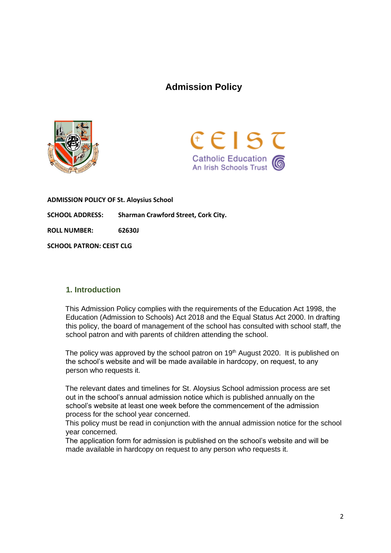# **Admission Policy**





**ADMISSION POLICY OF St. Aloysius School SCHOOL ADDRESS: Sharman Crawford Street, Cork City. ROLL NUMBER: 62630J SCHOOL PATRON: CEIST CLG**

#### <span id="page-2-0"></span>**1. Introduction**

This Admission Policy complies with the requirements of the Education Act 1998, the Education (Admission to Schools) Act 2018 and the Equal Status Act 2000. In drafting this policy, the board of management of the school has consulted with school staff, the school patron and with parents of children attending the school.

The policy was approved by the school patron on 19<sup>th</sup> August 2020. It is published on the school's website and will be made available in hardcopy, on request, to any person who requests it.

The relevant dates and timelines for St. Aloysius School admission process are set out in the school's annual admission notice which is published annually on the school's website at least one week before the commencement of the admission process for the school year concerned.

This policy must be read in conjunction with the annual admission notice for the school year concerned.

The application form for admission is published on the school's website and will be made available in hardcopy on request to any person who requests it.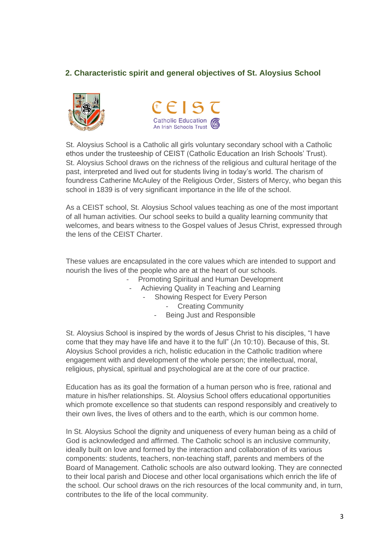## <span id="page-3-0"></span>**2. Characteristic spirit and general objectives of St. Aloysius School**





St. Aloysius School is a Catholic all girls voluntary secondary school with a Catholic ethos under the trusteeship of CEIST (Catholic Education an Irish Schools' Trust). St. Aloysius School draws on the richness of the religious and cultural heritage of the past, interpreted and lived out for students living in today's world. The charism of foundress Catherine McAuley of the Religious Order, Sisters of Mercy, who began this school in 1839 is of very significant importance in the life of the school.

As a CEIST school, St. Aloysius School values teaching as one of the most important of all human activities. Our school seeks to build a quality learning community that welcomes, and bears witness to the Gospel values of Jesus Christ, expressed through the lens of the CEIST Charter.

These values are encapsulated in the core values which are intended to support and nourish the lives of the people who are at the heart of our schools.

- Promoting Spiritual and Human Development
- Achieving Quality in Teaching and Learning
	- Showing Respect for Every Person
		- **Creating Community**
		- Being Just and Responsible

St. Aloysius School is inspired by the words of Jesus Christ to his disciples, "I have come that they may have life and have it to the full" (Jn 10:10). Because of this, St. Aloysius School provides a rich, holistic education in the Catholic tradition where engagement with and development of the whole person; the intellectual, moral, religious, physical, spiritual and psychological are at the core of our practice.

Education has as its goal the formation of a human person who is free, rational and mature in his/her relationships. St. Aloysius School offers educational opportunities which promote excellence so that students can respond responsibly and creatively to their own lives, the lives of others and to the earth, which is our common home.

In St. Aloysius School the dignity and uniqueness of every human being as a child of God is acknowledged and affirmed. The Catholic school is an inclusive community, ideally built on love and formed by the interaction and collaboration of its various components: students, teachers, non-teaching staff, parents and members of the Board of Management. Catholic schools are also outward looking. They are connected to their local parish and Diocese and other local organisations which enrich the life of the school. Our school draws on the rich resources of the local community and, in turn, contributes to the life of the local community.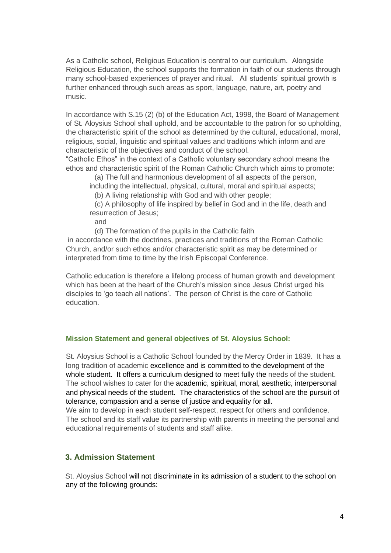As a Catholic school, Religious Education is central to our curriculum. Alongside Religious Education, the school supports the formation in faith of our students through many school-based experiences of prayer and ritual. All students' spiritual growth is further enhanced through such areas as sport, language, nature, art, poetry and music.

In accordance with S.15 (2) (b) of the Education Act, 1998, the Board of Management of St. Aloysius School shall uphold, and be accountable to the patron for so upholding, the characteristic spirit of the school as determined by the cultural, educational, moral, religious, social, linguistic and spiritual values and traditions which inform and are characteristic of the objectives and conduct of the school.

"Catholic Ethos" in the context of a Catholic voluntary secondary school means the ethos and characteristic spirit of the Roman Catholic Church which aims to promote:

(a) The full and harmonious development of all aspects of the person,

including the intellectual, physical, cultural, moral and spiritual aspects; (b) A living relationship with God and with other people;

(c) A philosophy of life inspired by belief in God and in the life, death and resurrection of Jesus;

and

(d) The formation of the pupils in the Catholic faith

in accordance with the doctrines, practices and traditions of the Roman Catholic Church, and/or such ethos and/or characteristic spirit as may be determined or interpreted from time to time by the Irish Episcopal Conference.

Catholic education is therefore a lifelong process of human growth and development which has been at the heart of the Church's mission since Jesus Christ urged his disciples to 'go teach all nations'. The person of Christ is the core of Catholic education.

#### **Mission Statement and general objectives of St. Aloysius School:**

St. Aloysius School is a Catholic School founded by the Mercy Order in 1839. It has a long tradition of academic excellence and is committed to the development of the whole student. It offers a curriculum designed to meet fully the needs of the student. The school wishes to cater for the academic, spiritual, moral, aesthetic, interpersonal and physical needs of the student. The characteristics of the school are the pursuit of tolerance, compassion and a sense of justice and equality for all.

We aim to develop in each student self-respect, respect for others and confidence. The school and its staff value its partnership with parents in meeting the personal and educational requirements of students and staff alike.

#### <span id="page-4-0"></span>**3. Admission Statement**

St. Aloysius School will not discriminate in its admission of a student to the school on any of the following grounds: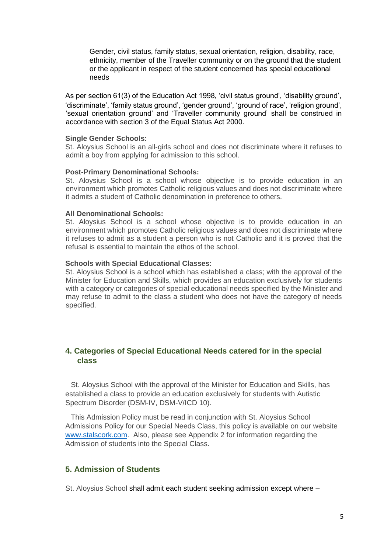Gender, civil status, family status, sexual orientation, religion, disability, race, ethnicity, member of the Traveller community or on the ground that the student or the applicant in respect of the student concerned has special educational needs

As per section 61(3) of the Education Act 1998, 'civil status ground', 'disability ground', 'discriminate', 'family status ground', 'gender ground', 'ground of race', 'religion ground', 'sexual orientation ground' and 'Traveller community ground' shall be construed in accordance with section 3 of the Equal Status Act 2000.

#### **Single Gender Schools:**

St. Aloysius School is an all-girls school and does not discriminate where it refuses to admit a boy from applying for admission to this school.

#### **Post-Primary Denominational Schools:**

St. Aloysius School is a school whose objective is to provide education in an environment which promotes Catholic religious values and does not discriminate where it admits a student of Catholic denomination in preference to others.

#### **All Denominational Schools:**

St. Aloysius School is a school whose objective is to provide education in an environment which promotes Catholic religious values and does not discriminate where it refuses to admit as a student a person who is not Catholic and it is proved that the refusal is essential to maintain the ethos of the school.

#### **Schools with Special Educational Classes:**

St. Aloysius School is a school which has established a class; with the approval of the Minister for Education and Skills, which provides an education exclusively for students with a category or categories of special educational needs specified by the Minister and may refuse to admit to the class a student who does not have the category of needs specified.

### <span id="page-5-0"></span>**4. Categories of Special Educational Needs catered for in the special class**

St. Aloysius School with the approval of the Minister for Education and Skills, has established a class to provide an education exclusively for students with Autistic Spectrum Disorder (DSM-IV, DSM-V/ICD 10).

This Admission Policy must be read in conjunction with St. Aloysius School Admissions Policy for our Special Needs Class, this policy is available on our website [www.stalscork.com.](http://www.stalscork.com/) Also, please see Appendix 2 for information regarding the Admission of students into the Special Class.

#### <span id="page-5-1"></span>**5. Admission of Students**

St. Aloysius School shall admit each student seeking admission except where –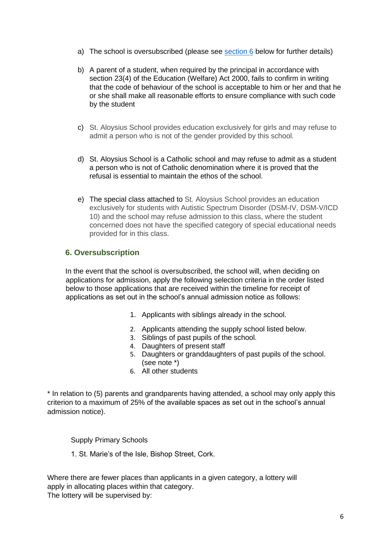- a) The school is oversubscribed (please see section 6 below for further details)
- b) A parent of a student, when required by the principal in accordance with section 23(4) of the Education (Welfare) Act 2000, fails to confirm in writing that the code of behaviour of the school is acceptable to him or her and that he or she shall make all reasonable efforts to ensure compliance with such code by the student
- c) St. Aloysius School provides education exclusively for girls and may refuse to admit a person who is not of the gender provided by this school.
- d) St. Aloysius School is a Catholic school and may refuse to admit as a student a person who is not of Catholic denomination where it is proved that the refusal is essential to maintain the ethos of the school.
- e) The special class attached to St. Aloysius School provides an education exclusively for students with Autistic Spectrum Disorder (DSM-IV, DSM-V/ICD 10) and the school may refuse admission to this class, where the student concerned does not have the specified category of special educational needs provided for in this class.

#### <span id="page-6-0"></span>**6. Oversubscription**

In the event that the school is oversubscribed, the school will, when deciding on applications for admission, apply the following selection criteria in the order listed below to those applications that are received within the timeline for receipt of applications as set out in the school's annual admission notice as follows:

- 1. Applicants with siblings already in the school.
- 2. Applicants attending the supply school listed below.
- 3. Siblings of past pupils of the school.
- 4. Daughters of present staff
- 5. Daughters or granddaughters of past pupils of the school. (see note \*)
- 6. All other students

\* In relation to (5) parents and grandparents having attended, a school may only apply this criterion to a maximum of 25% of the available spaces as set out in the school's annual admission notice).

Supply Primary Schools

1. St. Marie's of the Isle, Bishop Street, Cork.

Where there are fewer places than applicants in a given category, a lottery will apply in allocating places within that category. The lottery will be supervised by: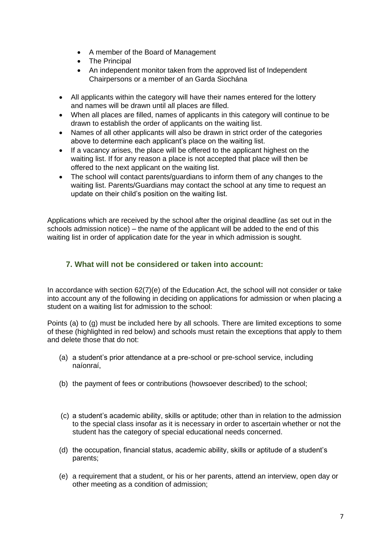- A member of the Board of Management
- The Principal
- An independent monitor taken from the approved list of Independent Chairpersons or a member of an Garda Siochána
- All applicants within the category will have their names entered for the lottery and names will be drawn until all places are filled.
- When all places are filled, names of applicants in this category will continue to be drawn to establish the order of applicants on the waiting list.
- Names of all other applicants will also be drawn in strict order of the categories above to determine each applicant's place on the waiting list.
- If a vacancy arises, the place will be offered to the applicant highest on the waiting list. If for any reason a place is not accepted that place will then be offered to the next applicant on the waiting list.
- The school will contact parents/guardians to inform them of any changes to the waiting list. Parents/Guardians may contact the school at any time to request an update on their child's position on the waiting list.

Applications which are received by the school after the original deadline (as set out in the schools admission notice) – the name of the applicant will be added to the end of this waiting list in order of application date for the year in which admission is sought.

## <span id="page-7-0"></span>**7. What will not be considered or taken into account:**

In accordance with section 62(7)(e) of the Education Act, the school will not consider or take into account any of the following in deciding on applications for admission or when placing a student on a waiting list for admission to the school:

Points (a) to (g) must be included here by all schools. There are limited exceptions to some of these (highlighted in red below) and schools must retain the exceptions that apply to them and delete those that do not:

- (a) a student's prior attendance at a pre-school or pre-school service, including naíonraí,
- (b) the payment of fees or contributions (howsoever described) to the school;
- (c) a student's academic ability, skills or aptitude; other than in relation to the admission to the special class insofar as it is necessary in order to ascertain whether or not the student has the category of special educational needs concerned.
- (d) the occupation, financial status, academic ability, skills or aptitude of a student's parents;
- (e) a requirement that a student, or his or her parents, attend an interview, open day or other meeting as a condition of admission;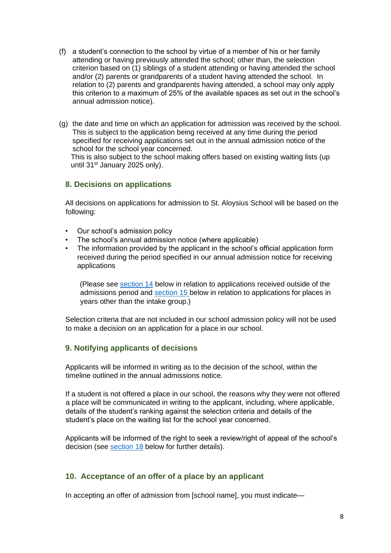- (f) a student's connection to the school by virtue of a member of his or her family attending or having previously attended the school; other than, the selection criterion based on (1) siblings of a student attending or having attended the school and/or (2) parents or grandparents of a student having attended the school. In relation to (2) parents and grandparents having attended, a school may only apply this criterion to a maximum of 25% of the available spaces as set out in the school's annual admission notice).
- (g) the date and time on which an application for admission was received by the school. This is subject to the application being received at any time during the period specified for receiving applications set out in the annual admission notice of the school for the school year concerned.

This is also subject to the school making offers based on existing waiting lists (up until 31<sup>st</sup> January 2025 only).

#### <span id="page-8-0"></span>**8. Decisions on applications**

All decisions on applications for admission to St. Aloysius School will be based on the following:

- Our school's admission policy
- The school's annual admission notice (where applicable)
- The information provided by the applicant in the school's official application form received during the period specified in our annual admission notice for receiving applications

(Please see section 14 below in relation to applications received outside of the admissions period and section 15 below in relation to applications for places in years other than the intake group.)

Selection criteria that are not included in our school admission policy will not be used to make a decision on an application for a place in our school.

#### <span id="page-8-1"></span>**9. Notifying applicants of decisions**

Applicants will be informed in writing as to the decision of the school, within the timeline outlined in the annual admissions notice.

If a student is not offered a place in our school, the reasons why they were not offered a place will be communicated in writing to the applicant, including, where applicable, details of the student's ranking against the selection criteria and details of the student's place on the waiting list for the school year concerned.

Applicants will be informed of the right to seek a review/right of appeal of the school's decision (see section 18 below for further details).

#### <span id="page-8-2"></span>**10. Acceptance of an offer of a place by an applicant**

In accepting an offer of admission from [school name], you must indicate—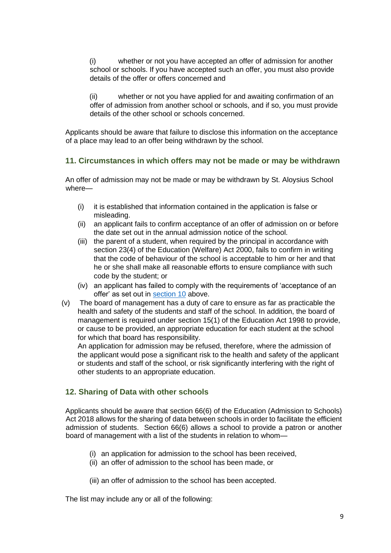(i) whether or not you have accepted an offer of admission for another school or schools. If you have accepted such an offer, you must also provide details of the offer or offers concerned and

(ii) whether or not you have applied for and awaiting confirmation of an offer of admission from another school or schools, and if so, you must provide details of the other school or schools concerned.

Applicants should be aware that failure to disclose this information on the acceptance of a place may lead to an offer being withdrawn by the school.

#### <span id="page-9-0"></span>**11. Circumstances in which offers may not be made or may be withdrawn**

An offer of admission may not be made or may be withdrawn by St. Aloysius School where—

- (i) it is established that information contained in the application is false or misleading.
- (ii) an applicant fails to confirm acceptance of an offer of admission on or before the date set out in the annual admission notice of the school.
- (iii) the parent of a student, when required by the principal in accordance with section 23(4) of the Education (Welfare) Act 2000, fails to confirm in writing that the code of behaviour of the school is acceptable to him or her and that he or she shall make all reasonable efforts to ensure compliance with such code by the student; or
- (iv) an applicant has failed to comply with the requirements of 'acceptance of an offer' as set out in section 10 above.
- (v) The board of management has a duty of care to ensure as far as practicable the health and safety of the students and staff of the school. In addition, the board of management is required under section 15(1) of the Education Act 1998 to provide, or cause to be provided, an appropriate education for each student at the school for which that board has responsibility.

An application for admission may be refused, therefore, where the admission of the applicant would pose a significant risk to the health and safety of the applicant or students and staff of the school, or risk significantly interfering with the right of other students to an appropriate education.

#### <span id="page-9-1"></span>**12. Sharing of Data with other schools**

Applicants should be aware that section 66(6) of the Education (Admission to Schools) Act 2018 allows for the sharing of data between schools in order to facilitate the efficient admission of students. Section 66(6) allows a school to provide a patron or another board of management with a list of the students in relation to whom—

- (i) an application for admission to the school has been received,
- (ii) an offer of admission to the school has been made, or

(iii) an offer of admission to the school has been accepted.

The list may include any or all of the following: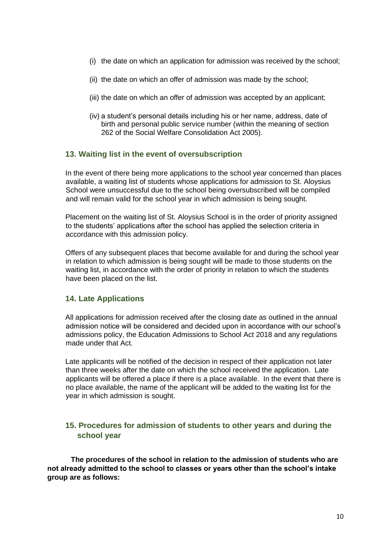- (i) the date on which an application for admission was received by the school;
- (ii) the date on which an offer of admission was made by the school;
- (iii) the date on which an offer of admission was accepted by an applicant;
- (iv) a student's personal details including his or her name, address, date of birth and personal public service number (within the meaning of section 262 of the Social Welfare Consolidation Act 2005).

#### <span id="page-10-0"></span>**13. Waiting list in the event of oversubscription**

In the event of there being more applications to the school year concerned than places available, a waiting list of students whose applications for admission to St. Aloysius School were unsuccessful due to the school being oversubscribed will be compiled and will remain valid for the school year in which admission is being sought.

Placement on the waiting list of St. Aloysius School is in the order of priority assigned to the students' applications after the school has applied the selection criteria in accordance with this admission policy.

Offers of any subsequent places that become available for and during the school year in relation to which admission is being sought will be made to those students on the waiting list, in accordance with the order of priority in relation to which the students have been placed on the list.

#### <span id="page-10-1"></span>**14. Late Applications**

All applications for admission received after the closing date as outlined in the annual admission notice will be considered and decided upon in accordance with our school's admissions policy, the Education Admissions to School Act 2018 and any regulations made under that Act.

Late applicants will be notified of the decision in respect of their application not later than three weeks after the date on which the school received the application. Late applicants will be offered a place if there is a place available. In the event that there is no place available, the name of the applicant will be added to the waiting list for the year in which admission is sought.

### <span id="page-10-2"></span>**15. Procedures for admission of students to other years and during the school year**

**The procedures of the school in relation to the admission of students who are not already admitted to the school to classes or years other than the school's intake group are as follows:**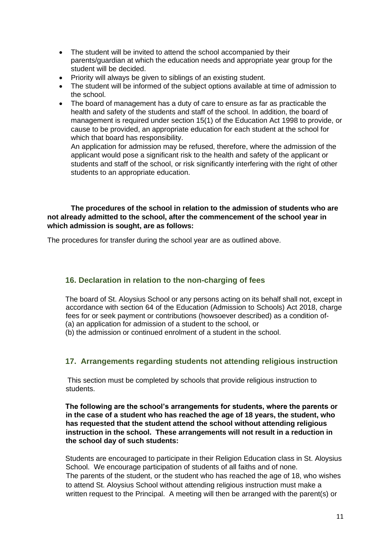- The student will be invited to attend the school accompanied by their parents/guardian at which the education needs and appropriate year group for the student will be decided.
- Priority will always be given to siblings of an existing student.
- The student will be informed of the subject options available at time of admission to the school.
- The board of management has a duty of care to ensure as far as practicable the health and safety of the students and staff of the school. In addition, the board of management is required under section 15(1) of the Education Act 1998 to provide, or cause to be provided, an appropriate education for each student at the school for which that board has responsibility.

An application for admission may be refused, therefore, where the admission of the applicant would pose a significant risk to the health and safety of the applicant or students and staff of the school, or risk significantly interfering with the right of other students to an appropriate education.

**The procedures of the school in relation to the admission of students who are not already admitted to the school, after the commencement of the school year in which admission is sought, are as follows:**

The procedures for transfer during the school year are as outlined above.

#### <span id="page-11-0"></span>**16. Declaration in relation to the non-charging of fees**

The board of St. Aloysius School or any persons acting on its behalf shall not, except in accordance with section 64 of the Education (Admission to Schools) Act 2018, charge fees for or seek payment or contributions (howsoever described) as a condition of- (a) an application for admission of a student to the school, or

(b) the admission or continued enrolment of a student in the school.

#### <span id="page-11-1"></span>**17. Arrangements regarding students not attending religious instruction**

This section must be completed by schools that provide religious instruction to students.

**The following are the school's arrangements for students, where the parents or in the case of a student who has reached the age of 18 years, the student, who has requested that the student attend the school without attending religious instruction in the school. These arrangements will not result in a reduction in the school day of such students:**

Students are encouraged to participate in their Religion Education class in St. Aloysius School. We encourage participation of students of all faiths and of none. The parents of the student, or the student who has reached the age of 18, who wishes to attend St. Aloysius School without attending religious instruction must make a written request to the Principal. A meeting will then be arranged with the parent(s) or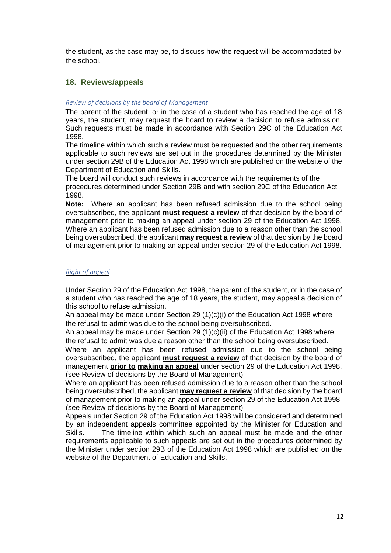the student, as the case may be, to discuss how the request will be accommodated by the school.

#### <span id="page-12-0"></span>**18. Reviews/appeals**

#### *Review of decisions by the board of Management*

The parent of the student, or in the case of a student who has reached the age of 18 years, the student, may request the board to review a decision to refuse admission. Such requests must be made in accordance with Section 29C of the Education Act 1998.

The timeline within which such a review must be requested and the other requirements applicable to such reviews are set out in the procedures determined by the Minister under section 29B of the Education Act 1998 which are published on the website of the Department of Education and Skills.

The board will conduct such reviews in accordance with the requirements of the procedures determined under Section 29B and with section 29C of the Education Act 1998.

**Note:** Where an applicant has been refused admission due to the school being oversubscribed, the applicant **must request a review** of that decision by the board of management prior to making an appeal under section 29 of the Education Act 1998. Where an applicant has been refused admission due to a reason other than the school being oversubscribed, the applicant **may request a review** of that decision by the board of management prior to making an appeal under section 29 of the Education Act 1998.

#### *Right of appeal*

Under Section 29 of the Education Act 1998, the parent of the student, or in the case of a student who has reached the age of 18 years, the student, may appeal a decision of this school to refuse admission.

An appeal may be made under Section 29  $(1)(c)(i)$  of the Education Act 1998 where the refusal to admit was due to the school being oversubscribed.

An appeal may be made under Section 29 (1)(c)(ii) of the Education Act 1998 where the refusal to admit was due a reason other than the school being oversubscribed.

Where an applicant has been refused admission due to the school being oversubscribed, the applicant **must request a review** of that decision by the board of management **prior to making an appeal** under section 29 of the Education Act 1998. (see Review of decisions by the Board of Management)

Where an applicant has been refused admission due to a reason other than the school being oversubscribed, the applicant **may request a review** of that decision by the board of management prior to making an appeal under section 29 of the Education Act 1998. (see Review of decisions by the Board of Management)

Appeals under Section 29 of the Education Act 1998 will be considered and determined by an independent appeals committee appointed by the Minister for Education and Skills. The timeline within which such an appeal must be made and the other requirements applicable to such appeals are set out in the procedures determined by the Minister under section 29B of the Education Act 1998 which are published on the website of the Department of Education and Skills.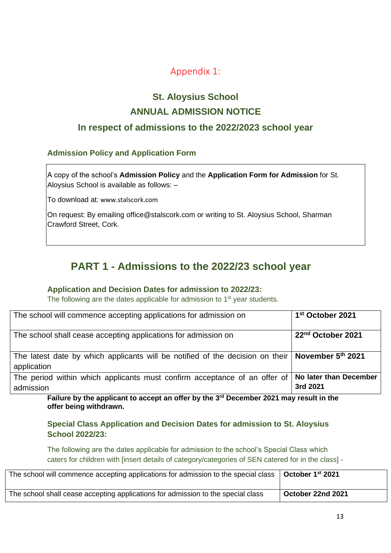# Appendix 1:

# **St. Aloysius School ANNUAL ADMISSION NOTICE**

# <span id="page-13-0"></span>**In respect of admissions to the 2022/2023 school year**

## **Admission Policy and Application Form**

A copy of the school's **Admission Policy** and the **Application Form for Admission** for St. Aloysius School is available as follows: –

To download at: www.stalscork.com

On request: By emailing office@stalscork.com or writing to St. Aloysius School, Sharman Crawford Street, Cork.

# **PART 1 - Admissions to the 2022/23 school year**

#### **Application and Decision Dates for admission to 2022/23:**

The following are the dates applicable for admission to 1<sup>st</sup> year students.

| The school will commence accepting applications for admission on                                                   | 1 <sup>st</sup> October 2021       |
|--------------------------------------------------------------------------------------------------------------------|------------------------------------|
| The school shall cease accepting applications for admission on                                                     | 22 <sup>nd</sup> October 2021      |
| The latest date by which applicants will be notified of the decision on their   November $5th$ 2021<br>application |                                    |
| The period within which applicants must confirm acceptance of an offer of<br>admission                             | No later than December<br>3rd 2021 |

Failure by the applicant to accept an offer by the 3<sup>rd</sup> December 2021 may result in the **offer being withdrawn.**

**Special Class Application and Decision Dates for admission to St. Aloysius School 2022/23:**

The following are the dates applicable for admission to the school's Special Class which caters for children with [insert details of category/categories of SEN catered for in the class] -

| The school will commence accepting applications for admission to the special class | October 1 <sup>st</sup> 2021 |
|------------------------------------------------------------------------------------|------------------------------|
| The school shall cease accepting applications for admission to the special class   | October 22nd 2021            |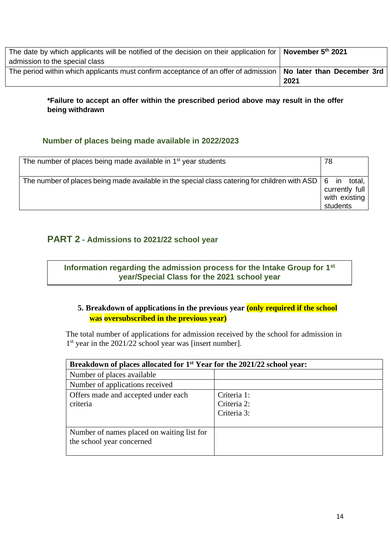| The date by which applicants will be notified of the decision on their application for <b>November 5<sup>th</sup></b> 2021 |      |
|----------------------------------------------------------------------------------------------------------------------------|------|
| admission to the special class                                                                                             |      |
| The period within which applicants must confirm acceptance of an offer of admission   No later than December 3rd           |      |
|                                                                                                                            | 2021 |

#### **\*Failure to accept an offer within the prescribed period above may result in the offer being withdrawn**

### **Number of places being made available in 2022/2023**

| The number of places being made available in 1 <sup>st</sup> year students                                                                                 | 78                                          |
|------------------------------------------------------------------------------------------------------------------------------------------------------------|---------------------------------------------|
| The number of places being made available in the special class catering for children with ASD $\begin{bmatrix} 6 & \text{in} & \text{total} \end{bmatrix}$ | currently full<br>with existing<br>students |

# **PART 2 - Admissions to 2021/22 school year**

# **Information regarding the admission process for the Intake Group for 1st year/Special Class for the 2021 school year**

## **5. Breakdown of applications in the previous year (only required if the school was oversubscribed in the previous year)**

The total number of applications for admission received by the school for admission in 1<sup>st</sup> year in the 2021/22 school year was [insert number].

| Breakdown of places allocated for 1 <sup>st</sup> Year for the 2021/22 school year: |                                           |
|-------------------------------------------------------------------------------------|-------------------------------------------|
| Number of places available                                                          |                                           |
| Number of applications received                                                     |                                           |
| Offers made and accepted under each<br>criteria                                     | Criteria 1:<br>Criteria 2:<br>Criteria 3: |
| Number of names placed on waiting list for<br>the school year concerned             |                                           |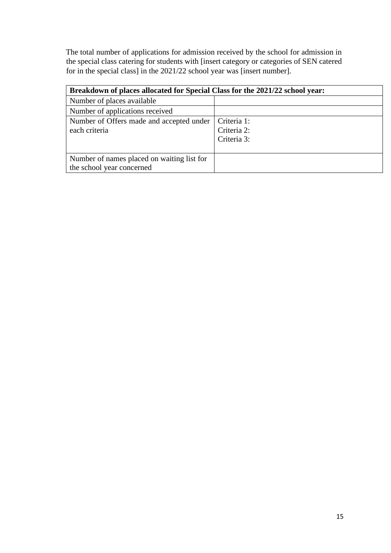The total number of applications for admission received by the school for admission in the special class catering for students with [insert category or categories of SEN catered for in the special class] in the 2021/22 school year was [insert number].

| Breakdown of places allocated for Special Class for the 2021/22 school year: |                                           |
|------------------------------------------------------------------------------|-------------------------------------------|
| Number of places available                                                   |                                           |
| Number of applications received                                              |                                           |
| Number of Offers made and accepted under<br>each criteria                    | Criteria 1:<br>Criteria 2:<br>Criteria 3: |
| Number of names placed on waiting list for<br>the school year concerned      |                                           |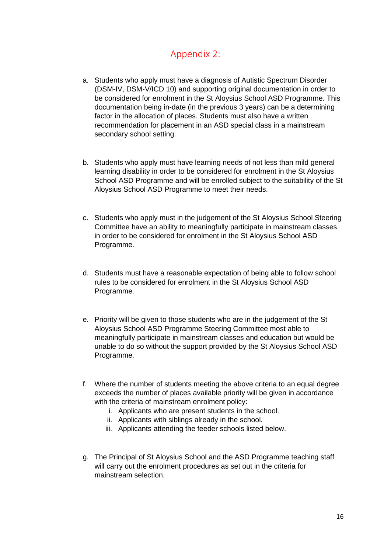# Appendix 2:

- <span id="page-16-0"></span>a. Students who apply must have a diagnosis of Autistic Spectrum Disorder (DSM-IV, DSM-V/ICD 10) and supporting original documentation in order to be considered for enrolment in the St Aloysius School ASD Programme. This documentation being in-date (in the previous 3 years) can be a determining factor in the allocation of places. Students must also have a written recommendation for placement in an ASD special class in a mainstream secondary school setting.
- b. Students who apply must have learning needs of not less than mild general learning disability in order to be considered for enrolment in the St Aloysius School ASD Programme and will be enrolled subject to the suitability of the St Aloysius School ASD Programme to meet their needs.
- c. Students who apply must in the judgement of the St Aloysius School Steering Committee have an ability to meaningfully participate in mainstream classes in order to be considered for enrolment in the St Aloysius School ASD Programme.
- d. Students must have a reasonable expectation of being able to follow school rules to be considered for enrolment in the St Aloysius School ASD Programme.
- e. Priority will be given to those students who are in the judgement of the St Aloysius School ASD Programme Steering Committee most able to meaningfully participate in mainstream classes and education but would be unable to do so without the support provided by the St Aloysius School ASD Programme.
- f. Where the number of students meeting the above criteria to an equal degree exceeds the number of places available priority will be given in accordance with the criteria of mainstream enrolment policy:
	- i. Applicants who are present students in the school.
	- ii. Applicants with siblings already in the school.
	- iii. Applicants attending the feeder schools listed below.
- g. The Principal of St Aloysius School and the ASD Programme teaching staff will carry out the enrolment procedures as set out in the criteria for mainstream selection.